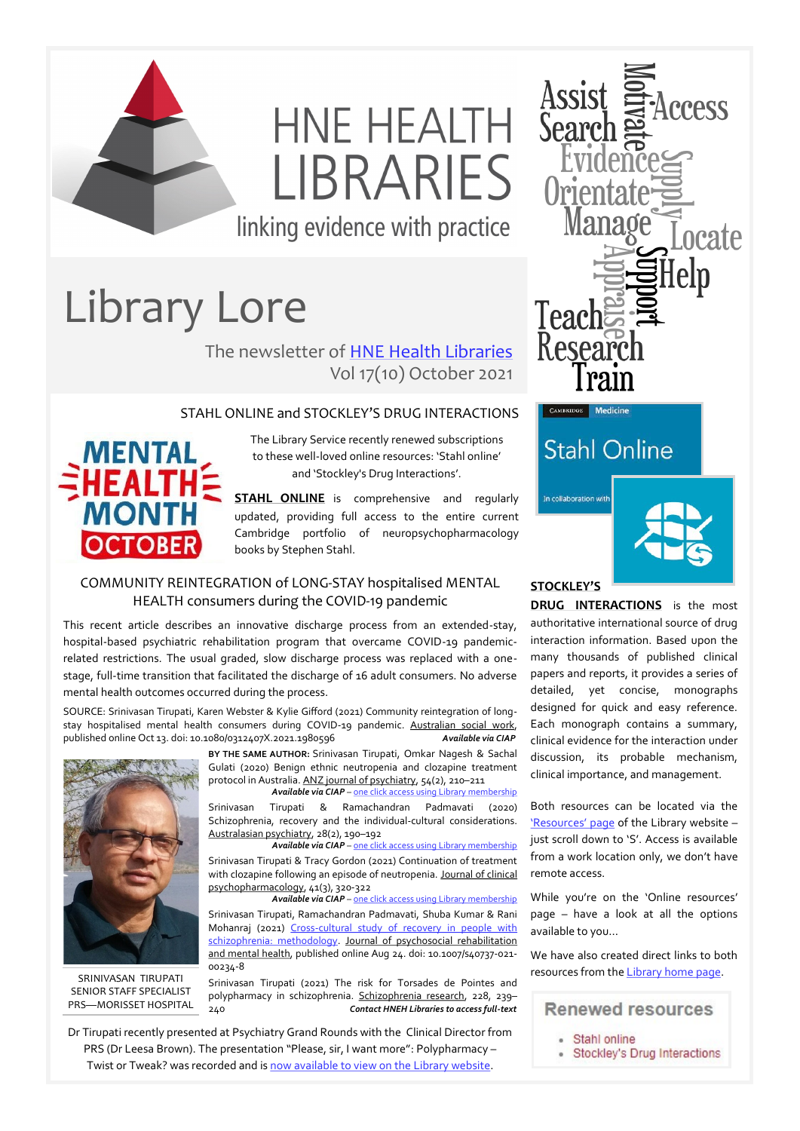

# HNE HEALTH **I IBRARIES**

linking evidence with practice

## Library Lore

The newsletter of [HNE Health Libraries](http://www.hnehealthlibraries.com.au) Vol 17(10) October 2021

#### STAHL ONLINE and STOCKLEY'S DRUG INTERACTIONS



The Library Service recently renewed subscriptions to these well-loved online resources: 'Stahl online' and 'Stockley's Drug Interactions'.

**STAHL ONLINE** is comprehensive and regularly updated, providing full access to the entire current Cambridge portfolio of neuropsychopharmacology books by Stephen Stahl.

#### COMMUNITY REINTEGRATION of LONG-STAY hospitalised MENTAL HEALTH consumers during the COVID-19 pandemic

This recent article describes an innovative discharge process from an extended-stay, hospital-based psychiatric rehabilitation program that overcame COVID-19 pandemicrelated restrictions. The usual graded, slow discharge process was replaced with a onestage, full-time transition that facilitated the discharge of 16 adult consumers. No adverse mental health outcomes occurred during the process.

SOURCE: Srinivasan Tirupati, Karen Webster & Kylie Gifford (2021) Community reintegration of longstay hospitalised mental health consumers during COVID-19 pandemic. Australian social work, published online Oct 13. doi: 10.1080/0312407X.2021.1980596 *Available via CIAP*



SRINIVASAN TIRUPATI SENIOR STAFF SPECIALIST PRS—MORISSET HOSPITAL

**BY THE SAME AUTHOR:** Srinivasan Tirupati, Omkar Nagesh & Sachal Gulati (2020) Benign ethnic neutropenia and clozapine treatment protocol in Australia. ANZ journal of psychiatry, 54(2), 210–211

 *Available via CIAP* – [one click access using Library membership](https://hnehealth.ovidds.com/resolver?sid=Entrez:PubMed&id=pmid:31631670) Srinivasan Tirupati & Ramachandran Padmavati (2020) Schizophrenia, recovery and the individual-cultural considerations. Australasian psychiatry, 28(2), 190–192

*Available via CIAP* – [one click access using Library membership](https://hnehealth.ovidds.com/resolver?sid=Entrez:PubMed&id=pmid:31868510) Srinivasan Tirupati & Tracy Gordon (2021) Continuation of treatment with clozapine following an episode of neutropenia. Journal of clinical psychopharmacology, 41(3), 320-322

*Available via CIAP* – [one click access using Library membership](https://hnehealth.ovidds.com/resolver?sid=Entrez:PubMed&id=pmid:33657071) Srinivasan Tirupati, Ramachandran Padmavati, Shuba Kumar & Rani Mohanraj (2021) Cross-[cultural study of recovery in people with](https://rdcu.be/cv20f)  [schizophrenia: methodology.](https://rdcu.be/cv20f) Journal of psychosocial rehabilitation and mental health, published online Aug 24. doi: 10.1007/s40737-021- 00234-8

Srinivasan Tirupati (2021) The risk for Torsades de Pointes and polypharmacy in schizophrenia. Schizophrenia research, 228, 239– 240 *Contact HNEH Libraries to access full-text*



### **Stahl Online**



In collaboration with

**DRUG INTERACTIONS** is the most authoritative international source of drug interaction information. Based upon the many thousands of published clinical papers and reports, it provides a series of detailed, yet concise, monographs designed for quick and easy reference. Each monograph contains a summary, clinical evidence for the interaction under discussion, its probable mechanism, clinical importance, and management.

Both resources can be located via the ['Resources' page](https://www.hnehealthlibraries.com.au/74) of the Library website – just scroll down to 'S'. Access is available from a work location only, we don't have remote access.

While you're on the 'Online resources' page – have a look at all the options available to you…

We have also created direct links to both resources from the [Library home page.](https://www.hnehealthlibraries.com.au/)

#### **Renewed resources**

- · Stahl online
- · Stockley's Drug Interactions

Dr Tirupati recently presented at Psychiatry Grand Rounds with the Clinical Director from PRS (Dr Leesa Brown). The presentation "Please, sir, I want more": Polypharmacy – Twist or Tweak? was recorded and is [now available to view on the Library website.](https://www.hnehealthlibraries.com.au/431)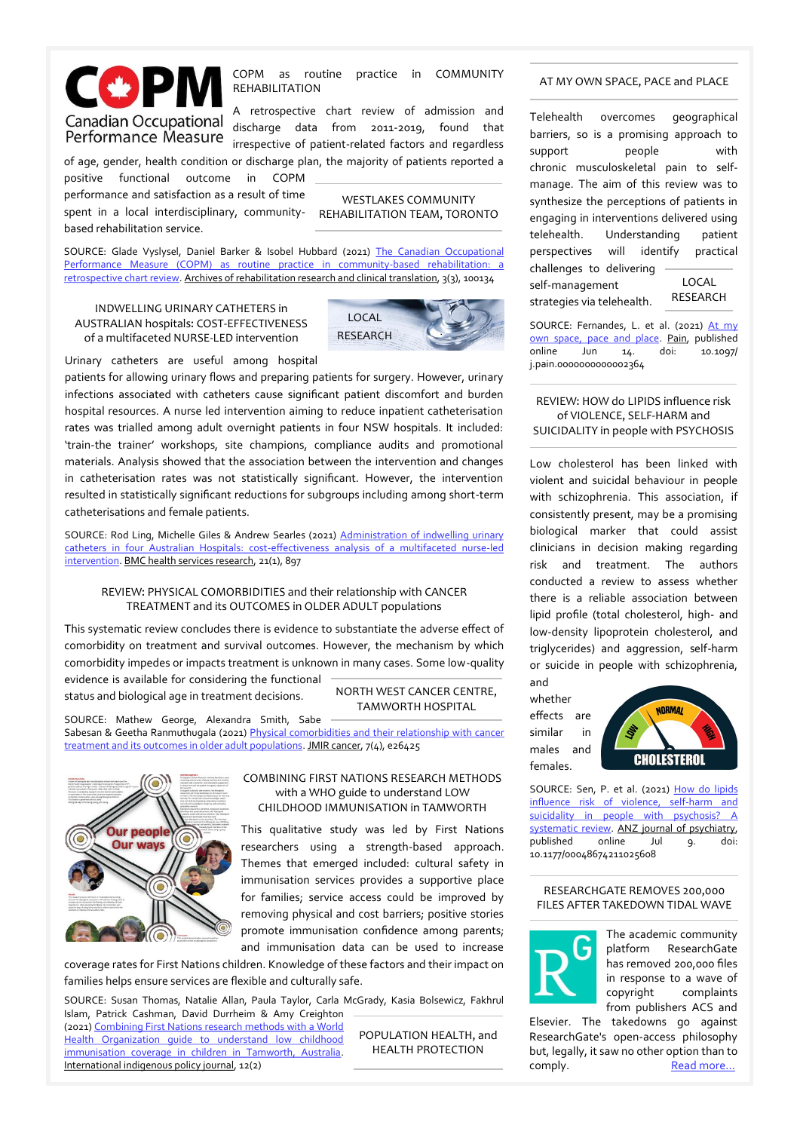

COPM as routine practice in COMMUNITY REHABILITATION

A retrospective chart review of admission and Canadian Occupational discharge data from 2011-2019, found that **Performance Measure** discussed and material and regardless

of age, gender, health condition or discharge plan, the majority of patients reported a positive functional outcome in COPM

performance and satisfaction as a result of time spent in a local interdisciplinary, communitybased rehabilitation service.

SOURCE: Glade Vyslysel, Daniel Barker & Isobel Hubbard (2021) [The Canadian Occupational](https://www.sciencedirect.com/science/article/pii/S2590109521000380)  [Performance Measure \(COPM\) as routine practice in community](https://www.sciencedirect.com/science/article/pii/S2590109521000380)-based rehabilitation: a [retrospective chart review.](https://www.sciencedirect.com/science/article/pii/S2590109521000380) Archives of rehabilitation research and clinical translation, 3(3), 100134

INDWELLING URINARY CATHETERS in AUSTRALIAN hospitals: COST-EFFECTIVENESS of a multifaceted NURSE-LED intervention



WESTLAKES COMMUNITY REHABILITATION TEAM, TORONTO

Urinary catheters are useful among hospital

patients for allowing urinary flows and preparing patients for surgery. However, urinary infections associated with catheters cause significant patient discomfort and burden hospital resources. A nurse led intervention aiming to reduce inpatient catheterisation rates was trialled among adult overnight patients in four NSW hospitals. It included: 'train-the trainer' workshops, site champions, compliance audits and promotional materials. Analysis showed that the association between the intervention and changes in catheterisation rates was not statistically significant. However, the intervention resulted in statistically significant reductions for subgroups including among short-term catheterisations and female patients.

SOURCE: Rod Ling, Michelle Giles & Andrew Searles (2021) Administration of indwelling urinary catheters in four Australian Hospitals: cost-[effectiveness analysis of a multifaceted nurse](https://bmchealthservres.biomedcentral.com/track/pdf/10.1186/s12913-021-06871-w.pdf)-led [intervention.](https://bmchealthservres.biomedcentral.com/track/pdf/10.1186/s12913-021-06871-w.pdf) BMC health services research, 21(1), 897

#### REVIEW: PHYSICAL COMORBIDITIES and their relationship with CANCER TREATMENT and its OUTCOMES in OLDER ADULT populations

This systematic review concludes there is evidence to substantiate the adverse effect of comorbidity on treatment and survival outcomes. However, the mechanism by which comorbidity impedes or impacts treatment is unknown in many cases. Some low-quality evidence is available for considering the functional

status and biological age in treatment decisions.

#### NORTH WEST CANCER CENTRE, TAMWORTH HOSPITAL

SOURCE: Mathew George, Alexandra Smith, Sabe Sabesan & Geetha Ranmuthugala (2021) *Physical comorbidities and their relationship with cancer* [treatment and its outcomes in older adult populations.](https://cancer.jmir.org/2021/4/e26425/PDF) JMIR cancer, 7(4), e26425



#### COMBINING FIRST NATIONS RESEARCH METHODS with a WHO guide to understand LOW CHILDHOOD IMMUNISATION in TAMWORTH

This qualitative study was led by First Nations researchers using a strength-based approach. Themes that emerged included: cultural safety in immunisation services provides a supportive place for families; service access could be improved by removing physical and cost barriers; positive stories promote immunisation confidence among parents; and immunisation data can be used to increase

coverage rates for First Nations children. Knowledge of these factors and their impact on families helps ensure services are flexible and culturally safe.

SOURCE: Susan Thomas, Natalie Allan, Paula Taylor, Carla McGrady, Kasia Bolsewicz, Fakhrul Islam, Patrick Cashman, David Durrheim & Amy Creighton

(2021) [Combining First Nations research methods with a World](https://ojs.lib.uwo.ca/index.php/iipj/article/view/10959/11344)  [Health Organization guide to understand low childhood](https://ojs.lib.uwo.ca/index.php/iipj/article/view/10959/11344)  [immunisation coverage in children in Tamworth, Australia.](https://ojs.lib.uwo.ca/index.php/iipj/article/view/10959/11344) International indigenous policy journal, 12(2)

POPULATION HEALTH, and HEALTH PROTECTION

#### AT MY OWN SPACE, PACE and PLACE

Telehealth overcomes geographical barriers, so is a promising approach to support people with chronic musculoskeletal pain to selfmanage. The aim of this review was to synthesize the perceptions of patients in engaging in interventions delivered using telehealth. Understanding patient perspectives will identify practical challenges to delivering self-management strategies via telehealth. LOCAL RESEARCH

SOURCE: Fernandes, L. et al. (2021) At my [own space, pace and place.](https://journals.lww.com/pain/Abstract/9000/At_my_own_space,_pace_and_place__a_systematic.97993.aspx) Pain, published<br>online Jun 14. doi: 10.1097/ online Jun 14. doi: 10.1097/ j.pain.0000000000002364

#### REVIEW: HOW do LIPIDS influence risk of VIOLENCE, SELF-HARM and SUICIDALITY in people with PSYCHOSIS

Low cholesterol has been linked with violent and suicidal behaviour in people with schizophrenia. This association, if consistently present, may be a promising biological marker that could assist clinicians in decision making regarding risk and treatment. The authors conducted a review to assess whether there is a reliable association between lipid profile (total cholesterol, high- and low-density lipoprotein cholesterol, and triglycerides) and aggression, self-harm or suicide in people with schizophrenia,

and whether effects are similar in males and females.



SOURCE: Sen, P. et al. (2021) [How do lipids](https://journals.sagepub.com/doi/pdf/10.1177/00048674211025608)  [influence risk of violence, self](https://journals.sagepub.com/doi/pdf/10.1177/00048674211025608)-harm and suicidality in people with psychosis? A [systematic review.](https://journals.sagepub.com/doi/pdf/10.1177/00048674211025608) ANZ journal of psychiatry, published online Jul 9. doi: 10.1177/00048674211025608

#### RESEARCHGATE REMOVES 200,000 FILES AFTER TAKEDOWN TIDAL WAVE



The academic community platform ResearchGate has removed 200,000 files in response to a wave of copyright complaints from publishers ACS and

Elsevier. The takedowns go against ResearchGate's open-access philosophy but, legally, it saw no other option than to comply. Read more...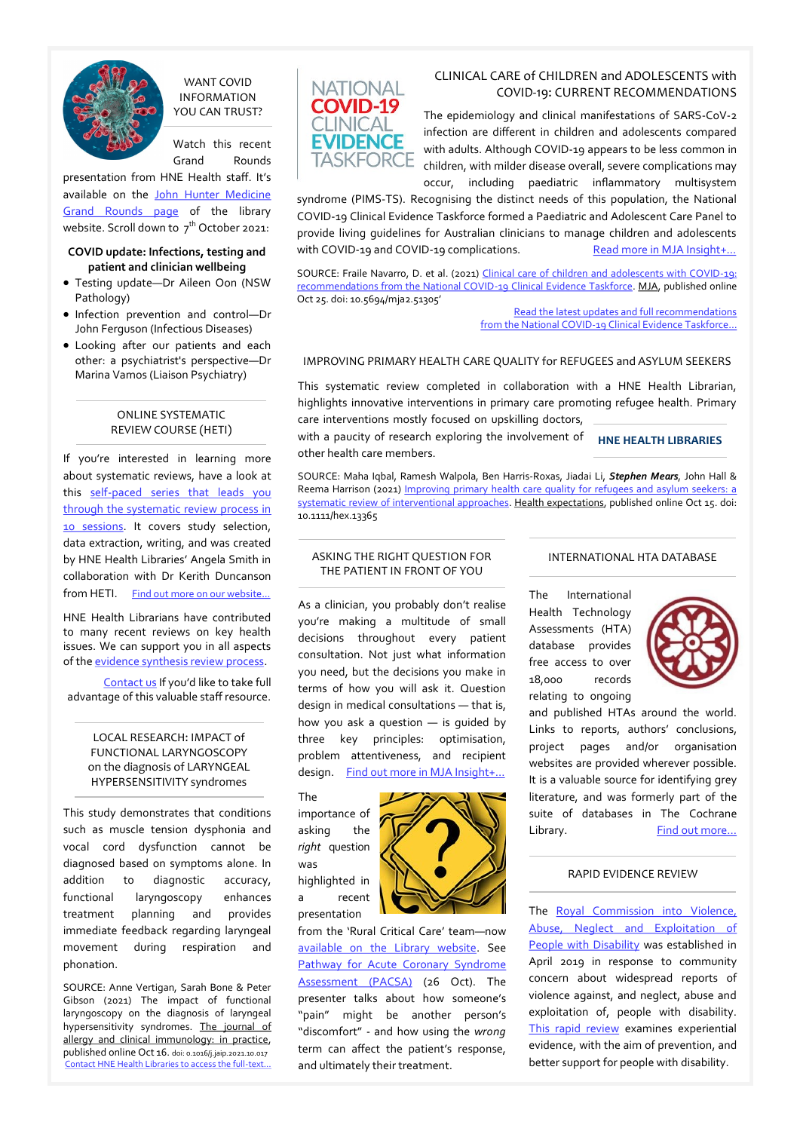

#### WANT COVID INFORMATION YOU CAN TRUST?

Watch this recent Grand Rounds

presentation from HNE Health staff. It's available on the John Hunter Medicine [Grand Rounds page](https://www.hnehealthlibraries.com.au/310) of the library website. Scroll down to  $7^{th}$  October 2021:

#### **COVID update: Infections, testing and patient and clinician wellbeing**

- Testing update—Dr Aileen Oon (NSW Pathology)
- Infection prevention and control-Dr John Ferguson (Infectious Diseases)
- Looking after our patients and each other: a psychiatrist's perspective—Dr Marina Vamos (Liaison Psychiatry)

#### ONLINE SYSTEMATIC REVIEW COURSE (HETI)

If you're interested in learning more about systematic reviews, have a look at this self-[paced series that leads you](http://www.hnehealthlibraries.com.au/570)  [through the systematic review process in](http://www.hnehealthlibraries.com.au/570)  [10 sessions.](http://www.hnehealthlibraries.com.au/570) It covers study selection, data extraction, writing, and was created by HNE Health Libraries' Angela Smith in collaboration with Dr Kerith Duncanson from HETI. [Find out more on our website...](http://www.hnehealthlibraries.com.au/463)

HNE Health Librarians have contributed to many recent reviews on key health issues. We can support you in all aspects of the [evidence synthesis review process.](https://www.hnehealthlibraries.com.au/547)

[Contact us](mailto:HNELHD-Libraries@health.nsw.gov.au) If you'd like to take full advantage of this valuable staff resource.

#### LOCAL RESEARCH: IMPACT of FUNCTIONAL LARYNGOSCOPY on the diagnosis of LARYNGEAL HYPERSENSITIVITY syndromes

This study demonstrates that conditions such as muscle tension dysphonia and vocal cord dysfunction cannot be diagnosed based on symptoms alone. In addition to diagnostic accuracy, functional laryngoscopy enhances treatment planning and provides immediate feedback regarding laryngeal movement during respiration and phonation.

SOURCE: Anne Vertigan, Sarah Bone & Peter Gibson (2021) The impact of functional laryngoscopy on the diagnosis of laryngeal hypersensitivity syndromes. The journal of allergy and clinical immunology: in practice, published online Oct 16. doi: 0.1016/j.jaip.2021.10.017 [Contact HNE Health Libraries to access the full](https://hnehealth.ovidds.com/resolver?sid=Entrez:PubMed&id=pmid:34666207)-text…



#### CLINICAL CARE of CHILDREN and ADOLESCENTS with COVID‐19: CURRENT RECOMMENDATIONS

The epidemiology and clinical manifestations of SARS‐CoV‐2 infection are different in children and adolescents compared with adults. Although COVID‐19 appears to be less common in children, with milder disease overall, severe complications may occur, including paediatric inflammatory multisystem

syndrome (PIMS‐TS). Recognising the distinct needs of this population, the National COVID‐19 Clinical Evidence Taskforce formed a Paediatric and Adolescent Care Panel to provide living guidelines for Australian clinicians to manage children and adolescents with COVID-19 and COVID-19 complications. [Read more in MJA Insight+...](https://insightplus.mja.com.au/2021/40/doctors-urged-to-read-living-guidelines-for-kids-with-covid-19/)

SOURCE: Fraile Navarro, D. et al. (2021) [Clinical care of children and adolescents with COVID](https://www.mja.com.au/system/files/issues/216_05/mja251305.pdf)-19: [recommendations from the National COVID](https://www.mja.com.au/system/files/issues/216_05/mja251305.pdf)-19 Clinical Evidence Taskforce. MJA, published online Oct 25. doi: 10.5694/mja2.51305'

[Read the latest updates and full recommendations](http://www.covid19evidence.net.au/)  from the National COVID-[19 Clinical Evidence Taskforce…](http://www.covid19evidence.net.au/)

#### IMPROVING PRIMARY HEALTH CARE QUALITY for REFUGEES and ASYLUM SEEKERS

This systematic review completed in collaboration with a HNE Health Librarian, highlights innovative interventions in primary care promoting refugee health. Primary care interventions mostly focused on upskilling doctors,

with a paucity of research exploring the involvement of other health care members.

**HNE HEALTH LIBRARIES**

SOURCE: Maha Iqbal, Ramesh Walpola, Ben Harris-Roxas, Jiadai Li, *Stephen Mears*, John Hall & Reema Harrison (2021) Improving primary health care quality for refugees and asylum seekers: a [systematic review of interventional approaches.](https://onlinelibrary.wiley.com/doi/epdf/10.1111/hex.13365) Health expectations, published online Oct 15. doi: 10.1111/hex.13365

#### ASKING THE RIGHT QUESTION FOR THE PATIENT IN FRONT OF YOU

As a clinician, you probably don't realise you're making a multitude of small decisions throughout every patient consultation. Not just what information you need, but the decisions you make in terms of how you will ask it. Question design in medical consultations — that is, how you ask a question — is guided by three key principles: optimisation, problem attentiveness, and recipient design. Find out more in MJA Insight+.

The importance of asking the *right* question was highlighted in a recent presentation



from the 'Rural Critical Care' team—now [available on the Library website.](https://www.hnehealthlibraries.com.au/560) See [Pathway for Acute Coronary Syndrome](http://www.hnehealthlibraries.com.au/media/Education/Departmental_training/PACSA/PACSA.html)  [Assessment \(PACSA\)](http://www.hnehealthlibraries.com.au/media/Education/Departmental_training/PACSA/PACSA.html) (26 Oct). The presenter talks about how someone's "pain" might be another person's "discomfort" - and how using the *wrong*  term can affect the patient's response, and ultimately their treatment.

#### INTERNATIONAL HTA DATABASE

The International Health Technology Assessments (HTA) database provides free access to over 18,000 records relating to ongoing



and published HTAs around the world. Links to reports, authors' conclusions, project pages and/or organisation websites are provided wherever possible. It is a valuable source for identifying grey literature, and was formerly part of the suite of databases in The Cochrane Library. Find out more...

#### RAPID EVIDENCE REVIEW

The Royal Commission into Violence, [Abuse, Neglect and Exploitation of](https://disability.royalcommission.gov.au/)  [People with Disability](https://disability.royalcommission.gov.au/) was established in April 2019 in response to community concern about widespread reports of violence against, and neglect, abuse and exploitation of, people with disability. [This rapid review](https://disability.royalcommission.gov.au/publications/research-report-rapid-evidence-review-violence-abuse-neglect-and-exploitation-people-disability) examines experiential evidence, with the aim of prevention, and better support for people with disability.